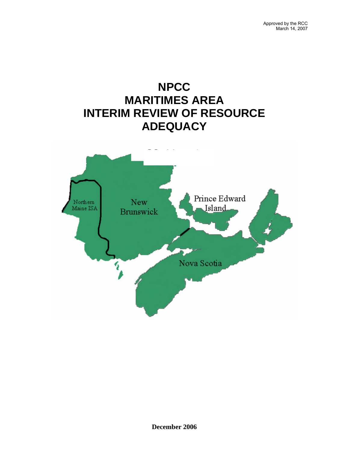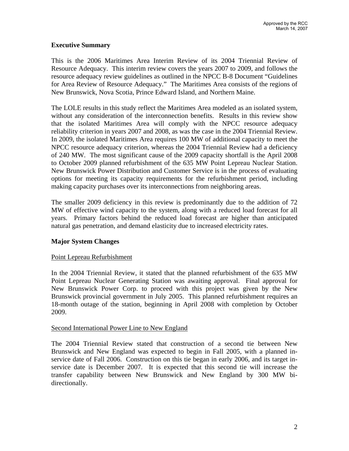## **Executive Summary**

This is the 2006 Maritimes Area Interim Review of its 2004 Triennial Review of Resource Adequacy. This interim review covers the years 2007 to 2009, and follows the resource adequacy review guidelines as outlined in the NPCC B-8 Document "Guidelines for Area Review of Resource Adequacy." The Maritimes Area consists of the regions of New Brunswick, Nova Scotia, Prince Edward Island, and Northern Maine.

The LOLE results in this study reflect the Maritimes Area modeled as an isolated system, without any consideration of the interconnection benefits. Results in this review show that the isolated Maritimes Area will comply with the NPCC resource adequacy reliability criterion in years 2007 and 2008, as was the case in the 2004 Triennial Review. In 2009, the isolated Maritimes Area requires 100 MW of additional capacity to meet the NPCC resource adequacy criterion, whereas the 2004 Triennial Review had a deficiency of 240 MW. The most significant cause of the 2009 capacity shortfall is the April 2008 to October 2009 planned refurbishment of the 635 MW Point Lepreau Nuclear Station. New Brunswick Power Distribution and Customer Service is in the process of evaluating options for meeting its capacity requirements for the refurbishment period, including making capacity purchases over its interconnections from neighboring areas.

The smaller 2009 deficiency in this review is predominantly due to the addition of 72 MW of effective wind capacity to the system, along with a reduced load forecast for all years. Primary factors behind the reduced load forecast are higher than anticipated natural gas penetration, and demand elasticity due to increased electricity rates.

### **Major System Changes**

### Point Lepreau Refurbishment

In the 2004 Triennial Review, it stated that the planned refurbishment of the 635 MW Point Lepreau Nuclear Generating Station was awaiting approval. Final approval for New Brunswick Power Corp. to proceed with this project was given by the New Brunswick provincial government in July 2005. This planned refurbishment requires an 18-month outage of the station, beginning in April 2008 with completion by October 2009.

### Second International Power Line to New England

The 2004 Triennial Review stated that construction of a second tie between New Brunswick and New England was expected to begin in Fall 2005, with a planned inservice date of Fall 2006. Construction on this tie began in early 2006, and its target inservice date is December 2007. It is expected that this second tie will increase the transfer capability between New Brunswick and New England by 300 MW bidirectionally.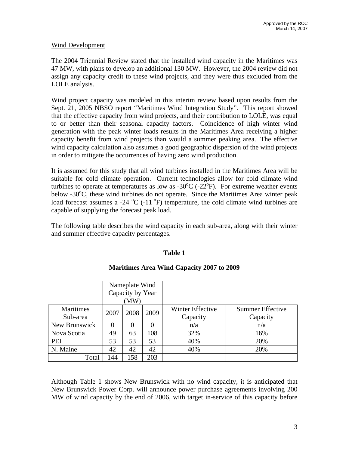### Wind Development

The 2004 Triennial Review stated that the installed wind capacity in the Maritimes was 47 MW, with plans to develop an additional 130 MW. However, the 2004 review did not assign any capacity credit to these wind projects, and they were thus excluded from the LOLE analysis.

Wind project capacity was modeled in this interim review based upon results from the Sept. 21, 2005 NBSO report "Maritimes Wind Integration Study". This report showed that the effective capacity from wind projects, and their contribution to LOLE, was equal to or better than their seasonal capacity factors. Coincidence of high winter wind generation with the peak winter loads results in the Maritimes Area receiving a higher capacity benefit from wind projects than would a summer peaking area. The effective wind capacity calculation also assumes a good geographic dispersion of the wind projects in order to mitigate the occurrences of having zero wind production.

It is assumed for this study that all wind turbines installed in the Maritimes Area will be suitable for cold climate operation. Current technologies allow for cold climate wind turbines to operate at temperatures as low as -30 $^{\circ}$ C (-22 $^{\circ}$ F). For extreme weather events below  $-30^{\circ}$ C, these wind turbines do not operate. Since the Maritimes Area winter peak load forecast assumes a -24  $^{\circ}$ C (-11  $^{\circ}$ F) temperature, the cold climate wind turbines are capable of supplying the forecast peak load.

The following table describes the wind capacity in each sub-area, along with their winter and summer effective capacity percentages.

# **Table 1**

|                  | Nameplate Wind   |      |      |                  |                         |
|------------------|------------------|------|------|------------------|-------------------------|
|                  | Capacity by Year |      |      |                  |                         |
|                  | (MW)             |      |      |                  |                         |
| <b>Maritimes</b> | 2007             | 2008 | 2009 | Winter Effective | <b>Summer Effective</b> |
| Sub-area         |                  |      |      | Capacity         | Capacity                |
| New Brunswick    |                  |      |      | n/a              | n/a                     |
| Nova Scotia      | 49               | 63   | 108  | 32%              | 16%                     |
| PEI              | 53               | 53   | 53   | 40%              | 20%                     |
| N. Maine         | 42               | 42   | 42   | 40%              | 20%                     |
| Total            | 144              | 158  | 203  |                  |                         |

# **Maritimes Area Wind Capacity 2007 to 2009**

Although Table 1 shows New Brunswick with no wind capacity, it is anticipated that New Brunswick Power Corp. will announce power purchase agreements involving 200 MW of wind capacity by the end of 2006, with target in-service of this capacity before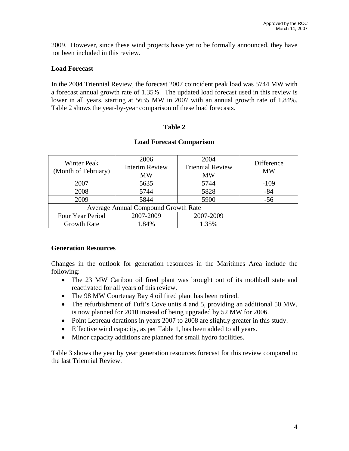2009. However, since these wind projects have yet to be formally announced, they have not been included in this review.

# **Load Forecast**

In the 2004 Triennial Review, the forecast 2007 coincident peak load was 5744 MW with a forecast annual growth rate of 1.35%. The updated load forecast used in this review is lower in all years, starting at 5635 MW in 2007 with an annual growth rate of 1.84%. Table 2 shows the year-by-year comparison of these load forecasts.

## **Table 2**

| <b>Winter Peak</b><br>(Month of February) | 2006<br><b>Interim Review</b><br>MW | 2004<br><b>Triennial Review</b><br><b>MW</b> | Difference<br><b>MW</b> |
|-------------------------------------------|-------------------------------------|----------------------------------------------|-------------------------|
| 2007                                      | 5635                                |                                              | $-109$                  |
| 2008                                      | 5744                                | 5828                                         | $-84$                   |
| 2009                                      | 5844                                | 5900                                         | $-56$                   |
| Average Annual Compound Growth Rate       |                                     |                                              |                         |
| 2007-2009<br>Four Year Period             |                                     | 2007-2009                                    |                         |
| <b>Growth Rate</b>                        | 1.84%                               | 1.35%                                        |                         |

### **Load Forecast Comparison**

### **Generation Resources**

Changes in the outlook for generation resources in the Maritimes Area include the following:

- The 23 MW Caribou oil fired plant was brought out of its mothball state and reactivated for all years of this review.
- The 98 MW Courtenay Bay 4 oil fired plant has been retired.
- The refurbishment of Tuft's Cove units 4 and 5, providing an additional 50 MW, is now planned for 2010 instead of being upgraded by 52 MW for 2006.
- Point Lepreau derations in years 2007 to 2008 are slightly greater in this study.
- Effective wind capacity, as per Table 1, has been added to all years.
- Minor capacity additions are planned for small hydro facilities.

Table 3 shows the year by year generation resources forecast for this review compared to the last Triennial Review.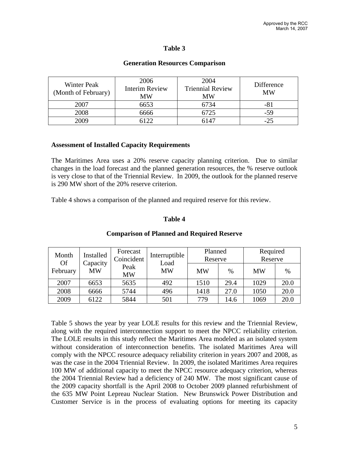## **Table 3**

#### **Generation Resources Comparison**

| Winter Peak<br>(Month of February) | 2006<br><b>Interim Review</b><br>MW | 2004<br><b>Triennial Review</b><br>ΜW | Difference<br>MW |
|------------------------------------|-------------------------------------|---------------------------------------|------------------|
| 2007                               | 6653                                | 6734                                  | -81              |
| 2008                               | 6666                                | 6725                                  | $-59$            |
| 2009                               | 5122                                | 6147                                  | $-25$            |

#### **Assessment of Installed Capacity Requirements**

The Maritimes Area uses a 20% reserve capacity planning criterion. Due to similar changes in the load forecast and the planned generation resources, the % reserve outlook is very close to that of the Triennial Review. In 2009, the outlook for the planned reserve is 290 MW short of the 20% reserve criterion.

Table 4 shows a comparison of the planned and required reserve for this review.

### **Table 4**

| Installed<br>Month<br><b>Of</b><br>Capacity | Forecast<br>Coincident | Interruptible<br>Load | Planned<br>Reserve |      | Required<br>Reserve |      |      |
|---------------------------------------------|------------------------|-----------------------|--------------------|------|---------------------|------|------|
| February                                    | MW                     | Peak<br><b>MW</b>     | <b>MW</b>          | MW   | $\%$                | MW   | $\%$ |
| 2007                                        | 6653                   | 5635                  | 492                | 1510 | 29.4                | 1029 | 20.0 |
| 2008                                        | 6666                   | 5744                  | 496                | 1418 | 27.0                | 1050 | 20.0 |
| 2009                                        | 6122                   | 5844                  | 501                | 779  | 14.6                | 1069 | 20.0 |

#### **Comparison of Planned and Required Reserve**

Table 5 shows the year by year LOLE results for this review and the Triennial Review, along with the required interconnection support to meet the NPCC reliability criterion. The LOLE results in this study reflect the Maritimes Area modeled as an isolated system without consideration of interconnection benefits. The isolated Maritimes Area will comply with the NPCC resource adequacy reliability criterion in years 2007 and 2008, as was the case in the 2004 Triennial Review. In 2009, the isolated Maritimes Area requires 100 MW of additional capacity to meet the NPCC resource adequacy criterion, whereas the 2004 Triennial Review had a deficiency of 240 MW. The most significant cause of the 2009 capacity shortfall is the April 2008 to October 2009 planned refurbishment of the 635 MW Point Lepreau Nuclear Station. New Brunswick Power Distribution and Customer Service is in the process of evaluating options for meeting its capacity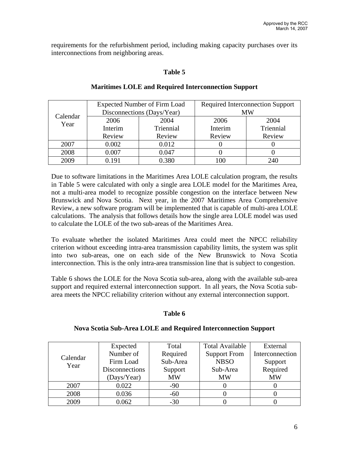requirements for the refurbishment period, including making capacity purchases over its interconnections from neighboring areas.

### **Table 5**

|                  |         | <b>Expected Number of Firm Load</b> | <b>Required Interconnection Support</b> |           |  |
|------------------|---------|-------------------------------------|-----------------------------------------|-----------|--|
| Calendar<br>Year |         | Disconnections (Days/Year)          | MW                                      |           |  |
|                  | 2006    | 2004                                | 2006                                    | 2004      |  |
|                  | Interim | Triennial                           | Interim                                 | Triennial |  |
|                  | Review  | Review                              | Review                                  | Review    |  |
| 2007             | 0.002   | 0.012                               |                                         |           |  |
| 2008             | 0.007   | 0.047                               |                                         |           |  |
| 2009             | 0.191   | 0.380                               |                                         | 240       |  |

### **Maritimes LOLE and Required Interconnection Support**

Due to software limitations in the Maritimes Area LOLE calculation program, the results in Table 5 were calculated with only a single area LOLE model for the Maritimes Area, not a multi-area model to recognize possible congestion on the interface between New Brunswick and Nova Scotia. Next year, in the 2007 Maritimes Area Comprehensive Review, a new software program will be implemented that is capable of multi-area LOLE calculations. The analysis that follows details how the single area LOLE model was used to calculate the LOLE of the two sub-areas of the Maritimes Area.

To evaluate whether the isolated Maritimes Area could meet the NPCC reliability criterion without exceeding intra-area transmission capability limits, the system was split into two sub-areas, one on each side of the New Brunswick to Nova Scotia interconnection. This is the only intra-area transmission line that is subject to congestion.

Table 6 shows the LOLE for the Nova Scotia sub-area, along with the available sub-area support and required external interconnection support. In all years, the Nova Scotia subarea meets the NPCC reliability criterion without any external interconnection support.

### **Table 6**

### **Nova Scotia Sub-Area LOLE and Required Interconnection Support**

|          | Expected              | Total     | <b>Total Available</b> | External        |
|----------|-----------------------|-----------|------------------------|-----------------|
| Calendar | Number of             | Required  | <b>Support From</b>    | Interconnection |
| Year     | Firm Load             | Sub-Area  | <b>NBSO</b>            | Support         |
|          | <b>Disconnections</b> | Support   | Sub-Area               | Required        |
|          | (Days/Year)           | <b>MW</b> | <b>MW</b>              | <b>MW</b>       |
| 2007     | 0.022                 | $-90$     |                        |                 |
| 2008     | 0.036                 | $-60$     |                        |                 |
| 2009     | 0.062                 | $-30$     |                        |                 |